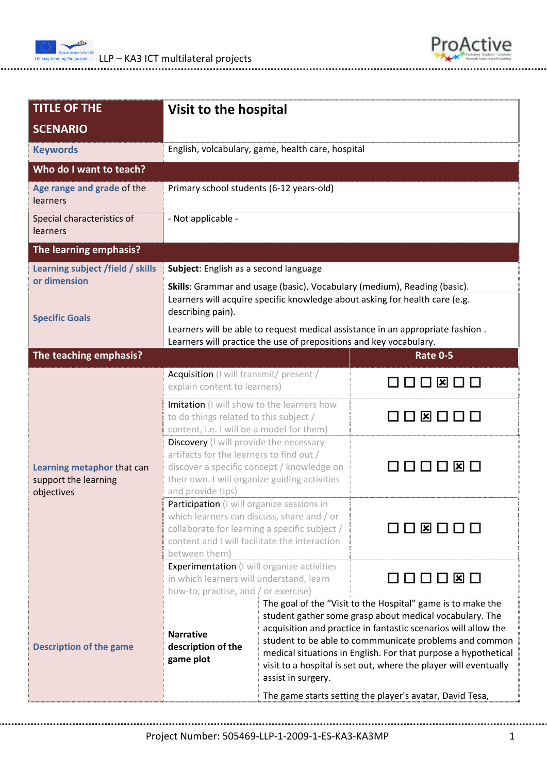



| <b>TITLE OF THE</b>                                              | Visit to the hospital                                                                                                                                                                                       |                                                                                                                                                                                                                                                                                                                                                                                                                                                                            |                 |  |  |  |
|------------------------------------------------------------------|-------------------------------------------------------------------------------------------------------------------------------------------------------------------------------------------------------------|----------------------------------------------------------------------------------------------------------------------------------------------------------------------------------------------------------------------------------------------------------------------------------------------------------------------------------------------------------------------------------------------------------------------------------------------------------------------------|-----------------|--|--|--|
| <b>SCENARIO</b>                                                  |                                                                                                                                                                                                             |                                                                                                                                                                                                                                                                                                                                                                                                                                                                            |                 |  |  |  |
| <b>Keywords</b>                                                  | English, volcabulary, game, health care, hospital                                                                                                                                                           |                                                                                                                                                                                                                                                                                                                                                                                                                                                                            |                 |  |  |  |
| Who do I want to teach?                                          |                                                                                                                                                                                                             |                                                                                                                                                                                                                                                                                                                                                                                                                                                                            |                 |  |  |  |
| Age range and grade of the<br>learners                           | Primary school students (6-12 years-old)                                                                                                                                                                    |                                                                                                                                                                                                                                                                                                                                                                                                                                                                            |                 |  |  |  |
| Special characteristics of<br>learners                           | - Not applicable -                                                                                                                                                                                          |                                                                                                                                                                                                                                                                                                                                                                                                                                                                            |                 |  |  |  |
| The learning emphasis?                                           |                                                                                                                                                                                                             |                                                                                                                                                                                                                                                                                                                                                                                                                                                                            |                 |  |  |  |
| Learning subject /field / skills                                 | Subject: English as a second language                                                                                                                                                                       |                                                                                                                                                                                                                                                                                                                                                                                                                                                                            |                 |  |  |  |
| or dimension                                                     | Skills: Grammar and usage (basic), Vocabulary (medium), Reading (basic).                                                                                                                                    |                                                                                                                                                                                                                                                                                                                                                                                                                                                                            |                 |  |  |  |
| <b>Specific Goals</b>                                            | Learners will acquire specific knowledge about asking for health care (e.g.<br>describing pain).                                                                                                            |                                                                                                                                                                                                                                                                                                                                                                                                                                                                            |                 |  |  |  |
|                                                                  | Learners will be able to request medical assistance in an appropriate fashion.<br>Learners will practice the use of prepositions and key vocabulary.                                                        |                                                                                                                                                                                                                                                                                                                                                                                                                                                                            |                 |  |  |  |
| The teaching emphasis?                                           |                                                                                                                                                                                                             |                                                                                                                                                                                                                                                                                                                                                                                                                                                                            | <b>Rate 0-5</b> |  |  |  |
| Learning metaphor that can<br>support the learning<br>objectives | Acquisition (I will transmit/ present /<br>explain content to learners)                                                                                                                                     |                                                                                                                                                                                                                                                                                                                                                                                                                                                                            |                 |  |  |  |
|                                                                  | Imitation (I will show to the learners how<br>to do things related to this subject /<br>content, i.e. I will be a model for them)                                                                           |                                                                                                                                                                                                                                                                                                                                                                                                                                                                            | □ ⊠ □ □ □       |  |  |  |
|                                                                  | Discovery (I will provide the necessary<br>artifacts for the learners to find out /<br>discover a specific concept / knowledge on<br>their own. I will organize guiding activities<br>and provide tips)     |                                                                                                                                                                                                                                                                                                                                                                                                                                                                            | 0000¤0          |  |  |  |
|                                                                  | Participation (I will organize sessions in<br>which learners can discuss, share and / or<br>collaborate for learning a specific subject /<br>content and I will facilitate the interaction<br>between them) |                                                                                                                                                                                                                                                                                                                                                                                                                                                                            | 0 X 0 0 0       |  |  |  |
|                                                                  | <b>Experimentation</b> (I will organize activities<br>in which learners will understand, learn<br>how-to, practise, and / or exercise)                                                                      |                                                                                                                                                                                                                                                                                                                                                                                                                                                                            | O O O Ø O       |  |  |  |
| <b>Description of the game</b>                                   | <b>Narrative</b><br>description of the<br>game plot                                                                                                                                                         | The goal of the "Visit to the Hospital" game is to make the<br>student gather some grasp about medical vocabulary. The<br>acquisition and practice in fantastic scenarios will allow the<br>student to be able to commmunicate problems and common<br>medical situations in English. For that purpose a hypothetical<br>visit to a hospital is set out, where the player will eventually<br>assist in surgery.<br>The game starts setting the player's avatar, David Tesa, |                 |  |  |  |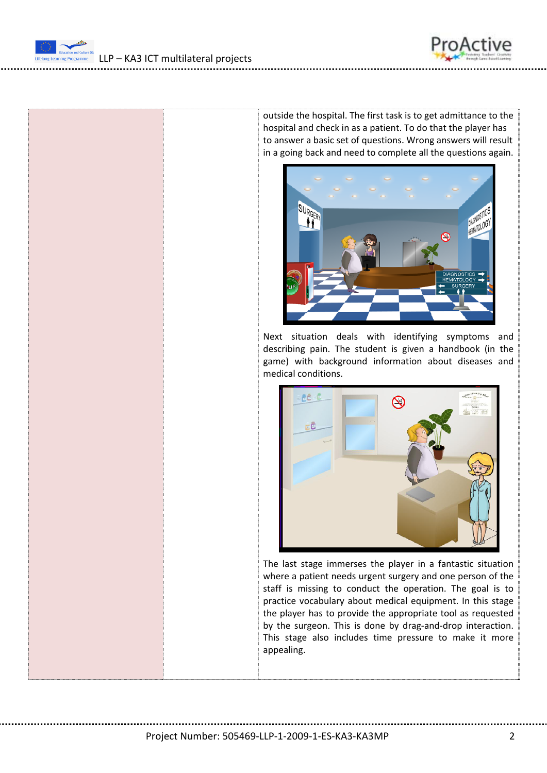



LLP – KA3 ICT multilateral projects

outside the hospital. The first task is to get admittance to the hospital and check in as a patient. To do that the player has to answer a basic set of questions. Wrong answers will result in a going back and need to complete all the questions again.



Next situation deals with identifying symptoms and describing pain. The student is given a handbook (in the game) with background information about diseases and medical conditions.



The last stage immerses the player in a fantastic situation where a patient needs urgent surgery and one person of the staff is missing to conduct the operation. The goal is to practice vocabulary about medical equipment. In this stage the player has to provide the appropriate tool as requested by the surgeon. This is done by drag-and-drop interaction. This stage also includes time pressure to make it more appealing.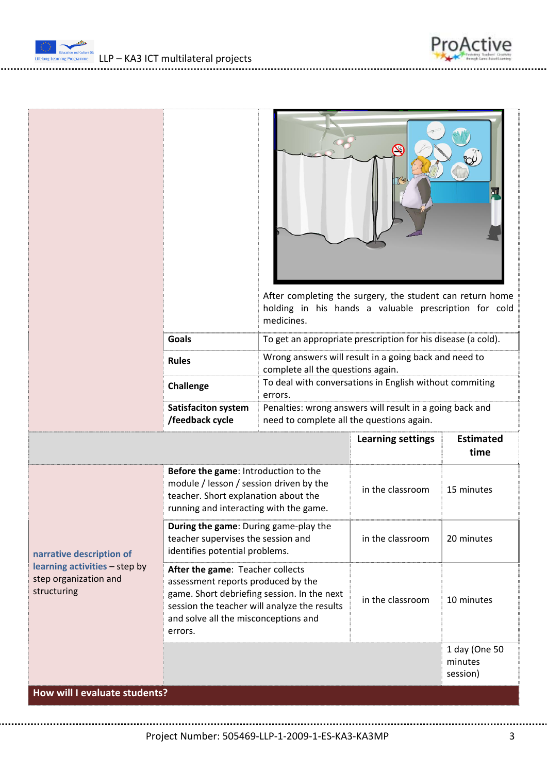Ediscript and Calisan DGC **LLP – KA3 ICT** multilateral projects



| <b>Goals</b><br>To get an appropriate prescription for his disease (a cold).<br>Wrong answers will result in a going back and need to<br><b>Rules</b><br>complete all the questions again.<br>To deal with conversations in English without commiting<br><b>Challenge</b><br>errors.<br>Penalties: wrong answers will result in a going back and<br><b>Satisfaciton system</b><br>/feedback cycle<br>need to complete all the questions again.<br><b>Learning settings</b><br>time<br>Before the game: Introduction to the<br>module / lesson / session driven by the<br>in the classroom<br>15 minutes<br>teacher. Short explanation about the<br>running and interacting with the game.<br>During the game: During game-play the<br>teacher supervises the session and<br>in the classroom<br>20 minutes<br>identifies potential problems.<br>narrative description of<br>learning activities - step by<br>After the game: Teacher collects<br>step organization and<br>assessment reports produced by the<br>structuring |  |                                             | After completing the surgery, the student can return home<br>holding in his hands a valuable prescription for cold<br>medicines. |  |                  |  |
|-----------------------------------------------------------------------------------------------------------------------------------------------------------------------------------------------------------------------------------------------------------------------------------------------------------------------------------------------------------------------------------------------------------------------------------------------------------------------------------------------------------------------------------------------------------------------------------------------------------------------------------------------------------------------------------------------------------------------------------------------------------------------------------------------------------------------------------------------------------------------------------------------------------------------------------------------------------------------------------------------------------------------------|--|---------------------------------------------|----------------------------------------------------------------------------------------------------------------------------------|--|------------------|--|
|                                                                                                                                                                                                                                                                                                                                                                                                                                                                                                                                                                                                                                                                                                                                                                                                                                                                                                                                                                                                                             |  |                                             |                                                                                                                                  |  |                  |  |
|                                                                                                                                                                                                                                                                                                                                                                                                                                                                                                                                                                                                                                                                                                                                                                                                                                                                                                                                                                                                                             |  |                                             |                                                                                                                                  |  |                  |  |
|                                                                                                                                                                                                                                                                                                                                                                                                                                                                                                                                                                                                                                                                                                                                                                                                                                                                                                                                                                                                                             |  |                                             |                                                                                                                                  |  |                  |  |
|                                                                                                                                                                                                                                                                                                                                                                                                                                                                                                                                                                                                                                                                                                                                                                                                                                                                                                                                                                                                                             |  |                                             |                                                                                                                                  |  |                  |  |
|                                                                                                                                                                                                                                                                                                                                                                                                                                                                                                                                                                                                                                                                                                                                                                                                                                                                                                                                                                                                                             |  |                                             |                                                                                                                                  |  | <b>Estimated</b> |  |
|                                                                                                                                                                                                                                                                                                                                                                                                                                                                                                                                                                                                                                                                                                                                                                                                                                                                                                                                                                                                                             |  |                                             |                                                                                                                                  |  |                  |  |
|                                                                                                                                                                                                                                                                                                                                                                                                                                                                                                                                                                                                                                                                                                                                                                                                                                                                                                                                                                                                                             |  |                                             |                                                                                                                                  |  |                  |  |
| in the classroom<br>10 minutes<br>session the teacher will analyze the results<br>and solve all the misconceptions and<br>errors.                                                                                                                                                                                                                                                                                                                                                                                                                                                                                                                                                                                                                                                                                                                                                                                                                                                                                           |  | game. Short debriefing session. In the next |                                                                                                                                  |  |                  |  |
| minutes<br>session)<br>How will I evaluate students?                                                                                                                                                                                                                                                                                                                                                                                                                                                                                                                                                                                                                                                                                                                                                                                                                                                                                                                                                                        |  |                                             |                                                                                                                                  |  | 1 day (One 50    |  |

Project Number: 505469‐LLP‐1‐2009‐1‐ES‐KA3‐KA3MP 3